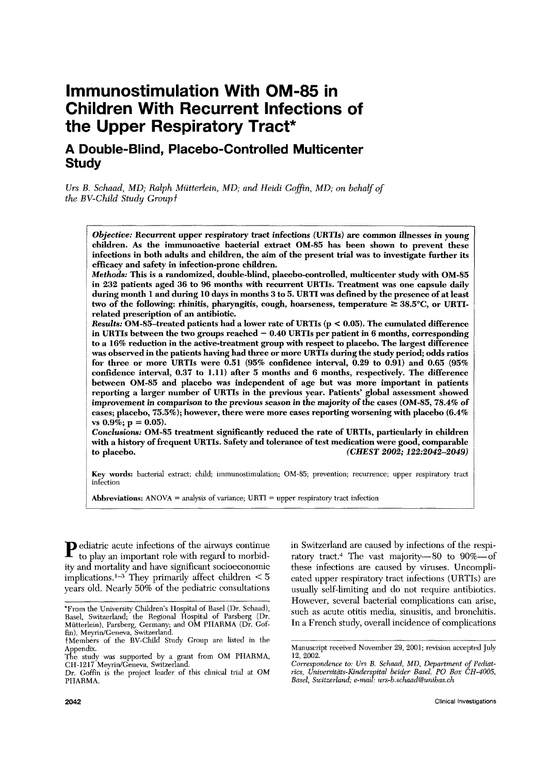# **lmmunostimulation With OM-85 in Children With Recurrent Infections of the Upper Respiratory Tract\***

# **A Double-Blind, Placebo-Controlled Multicenter Study**

*Vrs B. Schaad, MD; Ralph Miitterlein, MD; and Heidi Gofin, MD; on behalf of the BV-Child Study Groupf* 

*Objective:* Recurrent upper respiratory tract infections (URTIs) are common illnesses in young children. **As** the immunoactive bacterial extract OM-85 has been shown to prevent these infections in both adults and children, the aim of the present trial was to investigate further its efficacy and safety in infection-prone children.

*Methods:* This is a randomized, double-blind, placebo-controlled, multicenter study with OM-85 in **232** patients aged **36** to **96** months with recurrent URTIs. Treatment was one capsule daily during month **1** and during **10** days in months **3** to **5.** URTI was defined by the presence of at least two of the following: rhinitis, pharyngitis, cough, hoarseness, tempcraturc *2* **38.5"C,** or URTIrelated prescription of an antibiotic.

*Results:* OM-85-treated patients had a lower rate of URTIs (p < 0.05). The cumulated difference in URTIs between the two groups reached - **0.40** URTIs per patient in **6** months, corresponding to a **16%** reduction in the active-treatment group with respect to placebo. The largest difference was observed in the patients having had three or more URTIs during the study period; odds ratios for three or more URTIs were **0.51** (95% confidence interval, **0.29** to **0.91)** and **0.65 (95%**  confidence interval, **0.37** to **1.11)** after 5 months and **6** months, respectively. The difference between OM-85 and placebo was independent of age but was more important in patients reporting a larger number of URTIs in the previous year. Patients' global assessment showed improvement in comparison to the previous season in the majority of the cases (OM-85, 78.4% of cases; placebo, 75.5%); however, there were more cases reporting worsening with placebo **(6.4%**  vs **0.9%;** p = **0.05).** 

Conclusions: OM-85 treatment significantly reduced the rate of URTIs, particularly in children with a history of frequent URTIs. Safety and tolerance of test medication were good, comparable to placebo. (CHEST *2002; 122:2042-2049)* 

Key words: bacterial extract; child; immunostimulation; OM-85; prevention; recurrence; upper respiratory tract infection

**Abbreviations:** ANOVA = analysis of variance; URTT = upper respiratory tract infection

**P** ediatric acute infections of the airways continue to play an important role with regard to morbidity and mortality and have significant socioeconomic implications.]-3 They primarily affect children < *<sup>5</sup>* years old. Nearly 50% of the pediatric consultations

in Switzerland are caused by infections of the respiratory tract.<sup>4</sup> The vast majority-80 to  $90\%$ -of these infections are caused by viruses. Uncomplicated upper respiratory tract infections (URTIs) are usually self-limiting and do not require antibiotics. However, several bacterial complications can arise, such as acute otitis media, sinusitis, and bronchitis. In a French study, overall incidence of complications

<sup>&#</sup>x27;From the liniversity Children's llospital of Buel (Ur. Schaad), Aasel, Switzerland; the Regional Hospital of Parsberg (Dr. Miitterlein), Parsberg, Germany; and OM PHARMA (Dr. Goffin), Meyrin/Geneva, Switzerland.

fMeinbers of the AV-Child Study Group are listed in the Appendix.

The study was supported by a grant from OM PHARMA, CH-1217 Meyrin/Geneva, Switzerland.

Dr. Coffin is the project leader of this clinical trial at OM PHARMA.

Manuscript received November 29, 2001; revision accepted July 12, 2002.

*Cwrespondence to: Urs B. Schnad, MD, Depcirtment of Pethatrics, Universitäts-Kinderspital beider Basel, PO Box CH-4005, Basel, Switzerland; e-mail: urs-b.schaad@unibas.ch*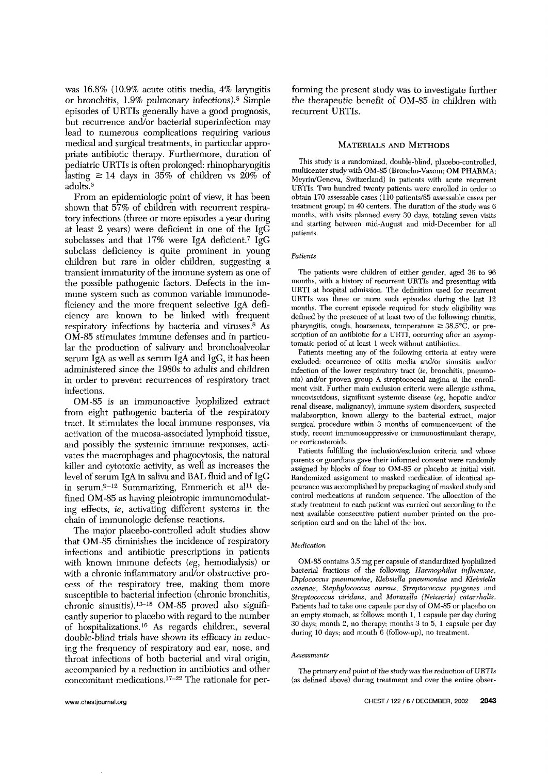was 16.8% (10.9% acute otitis media, **4%** laryngtis or bronchitis, 1.9% pulmonary infections).<sup>5</sup> Simple episodes of URTIs generally have a good prognosis, but recurrence and/or bacterial superinfection may lead to numerous complications requiring various medical and surgical treatments, in particular appropriate antibiotic therapy. Furthermore, duration of pediatric UHTIs is often prolonged: rhinopharyngitis lasting  $\geq 14$  days in 35% of children **vs** 20% of adults.6

From an epidemiologic point of view, it has been shown that 57% of children with recurrent respiratory infections (three or more episodes a year during at least 2 years) were deficient in one of the IgG subclasses and that  $17\%$  were IgA deficient.<sup>7</sup> IgG subclass deficiency is quite prominent in young children but rare in older children, suggesting a transient immaturity of the immune system as one of the possible pathogenic factors. Defects in the immune system such as common variable immunodeficiency and the more frequent selective IgA deficiency are known to be linked with frequent respiratory infections by bacteria and viruses *.8* As OM-85 stimulates immune defenses and in particular the production of salivary and bronchoalveolar serum IgA as well as serum IgA and IgG, it has been administered since the 1980s to adults and children in order to prevent recurrences of respiratory tract infections,

OM-85 is an immunoactive lyophilized extract from eight pathogenic bacteria of the respiratory tract. Tt stimulates the local immune responses, via activation of the mucosa-associated lymphoid tissue, and possibly the systemic immune responses, activates the macrophages and phagocytosis, the natural killer and cytotoxic activity, as well as increases the level of serum IgA in saliva **and** BAL fluid and of **IgC:**  in serum. $9-12$  Summarizing, Emmerich et al<sup>11</sup> defined OM-85 as having pleiotropic immunomodulating effects, *ie,* activating different systems in the chain of immunologic defense reactions.

The major placebo-controlled adult studies show that OM-85 diminishes the incidence of respiratory infections and antibiotic prescriptions in patients with known immune defects *(eg,* hemodialysis) or with a chronic inflammatory and/or obstructive process of the respiratory tree, making them more susceptible to bacterial infection (chronic bronchitis, chronic sinusitis).<sup>13-15</sup> OM-85 proved also significantly superior to placebo with regard to the number of hospitalizations.<sup>16</sup> As regards children, several double-blind trials have shown its efficacy in reducing the frequency of respiratory and ear, nose, and throat infections of both bacterial and viral origin, accompanied by a reduction in antibiotics and other concomitant medications. $17-22$  The rationale for performing the present study was to investigate further the therapeutic benefit of OM-85 in children with recurrent URTIs.

#### MATERIALS AND **METHODS**

This study is a randomized, double-blind, placebo-controlled, multicenter study with OM-85 (Broncho-Vaxom; OM PHARMA; Meyrin/Geneva, Switzerland) in patients with acute recurrent URTIs. Two hundred twenty patients were enrolled in order to obtain 170 assessable cases (110 patients/85 assessable cases per treatment group) in **40** centers. The duration of the study was 6 months, with visits planned every 30 days, totaling seven visits and starting between mid-August and mid-December for all patients.

#### *Patients*

The patients were children of either gender, aged 36 to 96 months, with a history of recurrent URTIs and presenting with URTI at hospital admission. The definition used for recurrent URTIs was three or more such episodes during the last 12 months. The current episode required for study eligibility was defined by the presence of at least two of the following: rhinitis, pharyngitis, cough, hoarseness, temperature  $\geq 38.5^{\circ}C$ , or prescription of an antibiotic for a URTI, occurring after an asynptomatic period of at least 1 week without antibiotics.

Patients meeting any of the following criteria at entry were excluded: occurrence of otitis media and/or sinusitis and/or infection of the lower respiratory tract *(ie, bronchitis, pneumo*nia) and/or proven group A streptococcal angina at the enrollmerit visit. Further main exclusion criteria were allergic asthma, mucoviscidosis, significant systemic disease *(eg,* hepatic and/or renal disease, malignancy), immune system disorders, suspected malabsorption, known allergy to the bacterial extract, major surgical procedure within 3 months of commencement of the study, recent immunosuppressive or immunostimulant therapy, or corticosteroids.

Patients fulfilling the inclusion/exclusion criteria and whose parents or guardians gave their informed consent were randomly assigned by blocks of four to OM-85 or placebo at initial visit. Randomized assignment to masked medication of identical appearance was accomplished by prepackaging of masked study and control medications at random sequence. The allocation of the study treatment to each patient was carried out according to the next available consecutive patient number printed on the prescription card and on the label of the box.

#### *Medication*

OM-85 contains 3.5 mg per capsule of standardized lyophilized bacterial fractions of the following: *Haemophilus influenzae*,  $Diplococcus$  pneumoniae, *Klebsiella pneumoniae* and *Klebsiella osaenae, Staphylooccus airreus, Strq3tococcus* pyogenes and *Streptococcus viridans, and Moraxella (Neisseria) catarrhalis.* Patients had to take one capsule per day of OM-85 or placebo on an empty stomach, **as** follows: month 1, 1 capsule per day during 30 days; month 2, no therapy: months *3* to 5, 1 capsule per day during 10 days; and month 6 (follow-up), no treatment.

#### *Assessments*

The primary end point of the study was the reduction of URTIs (as defined above) during treatment and over the entire obser-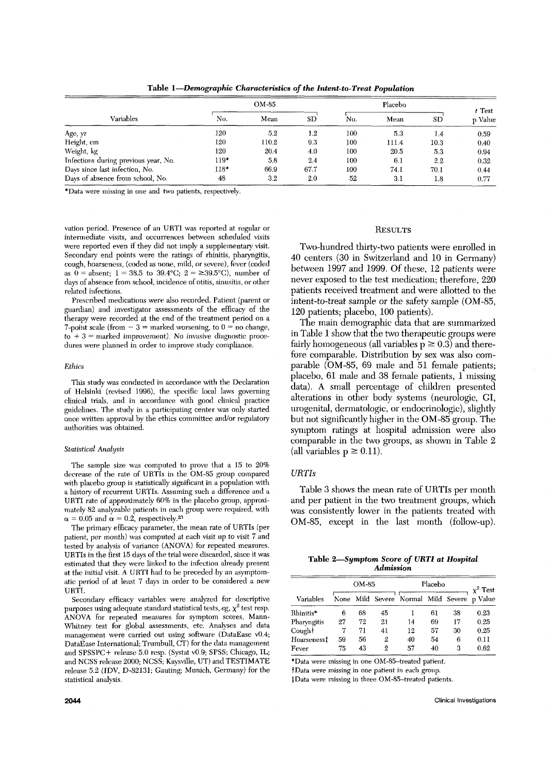**Table** *I-Demographic Characteristics* **of** *the Intent-to-Treat Population* 

| Variables                            | OM-85  |       |         | Placebo |       |         | $t$ Test |
|--------------------------------------|--------|-------|---------|---------|-------|---------|----------|
|                                      | No.    | Mean  | SD      | No.     | Mean  | SD      | p Value  |
| Age, yr                              | 120    | 5.2   | $1.2\,$ | 100     | 5.3   | 1.4     | 0.59     |
| Height, cm                           | 120    | 110.2 | 9.3     | 100     | 111.4 | 10.3    | 0.40     |
| Weight, kg                           | 120    | 20.4  | 4.0     | 100     | 20.5  | 5.3     | 0.94     |
| Infections during previous year, No. | $119*$ | 5.8   | 2.4     | 100     | 6.1   | 2.2     | 0.32     |
| Days since last infection, No.       | 118*   | 66.9  | 67.7    | 100     | 74.1  | 70.I    | 0.44     |
| Days of absence from school, No.     | 48     | 3.2   | 2.0     | 52      | 3.1   | $1.8\,$ | 0.77     |

\*Data were missing in one and two patients, respectively.

vation period. Presence of an **URTl** was reported at regular or intermediate visits, and occurrences between scheduled visits were reported even if they did not imply **a** supplementary visit. Secondary end points were the ratings of rhinitis, pharyngitis, cough, hoarseness, (coded **as** none, mild, or severe), fever (coded as  $0 =$  absent;  $1 = 38.5$  to  $39.4$ °C;  $2 = \ge 39.5$ °C), number of days of absence from school, incidence of otitis, sinusitis, or other related infections.

Prescribed medications were also recorded. Patient (parent or guardian) and investigator assessments of the efficacy of the therapy were recorded at the end of the treatment period on a 7-point scale (from  $-3 =$  marked worsening, to  $0 =$  no change, to + *3* = marked improvement). *No* invasive diagnostic procedures were planned in order to improve study compliance.

#### *Ethics*

This study was conducted **in** accordance with the Declaration of Helsinki (revised 1996), the specific local laws governing clinical trials, and in accordance with good clinical practice guidelines. The study in a participating center was only started once written approval by the ethics committee and/or regulatory authorities was obtained.

#### **Statistical Analysis**

The sample size was computed to prove that a 15 to 20% decrease of the rate of URTIs in the OM-85 group compared with placebo group is statistically significant in a population with a history of recurrent URTIs. Assuming such a difference and a URTI rate of approximately 60% in the placebo group, approximately 82 analyablc patients in each group were required, with  $\alpha = 0.05$  and  $\alpha = 0.2$ , respectively.<sup>23</sup>

The primary efficacy parameter, the mean rate of URTIs (per patient, per month) was computed at each visit up to visit 7 and tested by analysis of variance (ANOVA) for repeated measures. URTIs in the first 15 days of the trial were discarded, since it wa estimated that they were linked to the infection already present at the initial visit. A URTI had to be preceded by an asymptomatic period of at least 7 days in order to be considered a new URTI.

Secondary efficacy variables were analyzed for descriptive purposes using adequate standard statistical tests,  $eg$ ,  $\chi^2$  test resp. ANOkA for repeated measures for symptom scores, Mann-Whitney test for global assessments, etc. Analyses and data management were carried out using software (DataEase vO.4; DataEase International; Trumbull, *CT)* **for** the data management and SPSSPC+ release 5.0 resp. (Systat v0.9; SPSS; Chicago, IL; and NCSS release 2000; NCSS; Kaysville, UT) and TESTIMATE release 5.2 (IDV, D-82131; Gauting; Munich, Germany) for the statistical analysis.

# **RESULTS**

Two-hundred thirty-two patients were enrolled in 40 centers (30 in Switzerland and 10 in Germany) between 1997 and 1999. Of these, 12 patients were never exposed to the test medication; therefore, 220 patients received treatment and were allotted to the intent-to-treat sample or the safety sample (OM-85, 120 patients; placebo, 100 patients).

The main demographic data that are summarized in Table 1 show that the two therapeutic groups were fairly homogeneous (all variables  $p \ge 0.3$ ) and therefore comparable. Distribution by sex was also comparable (OM-85, 69 male and 51 female patients; placebo, 61 male and **38** female patients, 1 missing data). **A** small percentage of children presented alterations in other body systems (neurologic, GI, urogenital, dermatologic, or endocrinologic), slightly but not significantly higher in the OM-85 group. The symptom ratings at hospital admission were also comparable in the two groups, as shown in Table 2 (all variables  $p \ge 0.11$ ).

#### *URTIs*

Table *3* shows the mean rate of UKTIs per month and per patient in the two treatment groups, which was consistently lower in the patients treated with OM-85, except in the last month (follow-up).

| Table 2-Symptom Score of URTI at Hospital |                  |  |  |
|-------------------------------------------|------------------|--|--|
|                                           | <b>Admission</b> |  |  |

|             | OM-85 |    |    | Placebo                                     | $\chi^2$ Test |    |      |
|-------------|-------|----|----|---------------------------------------------|---------------|----|------|
| Variables   |       |    |    | None Mild Severe Normal Mild Severe p Value |               |    |      |
| Rhinitis*   | 6     | 68 | 45 |                                             | 61            | 38 | 0.23 |
| Pharyngitis | 27    | 72 | 21 | 14                                          | 69            | 17 | 0.25 |
| Cought      | 7     | 71 | 41 | 12                                          | 57            | 30 | 0.25 |
| Hoarseness‡ | 59    | 56 | 2  | 40                                          | 54            | 6  | 0.11 |
| Fever       | 75    | 43 | 2  | 57                                          | 40            | З  | 0.62 |

\*Data were missing in one OM-85-treated patient.

+Data **were** missing in one patient in each group.

\$Data were missing in three OM-85-treated patients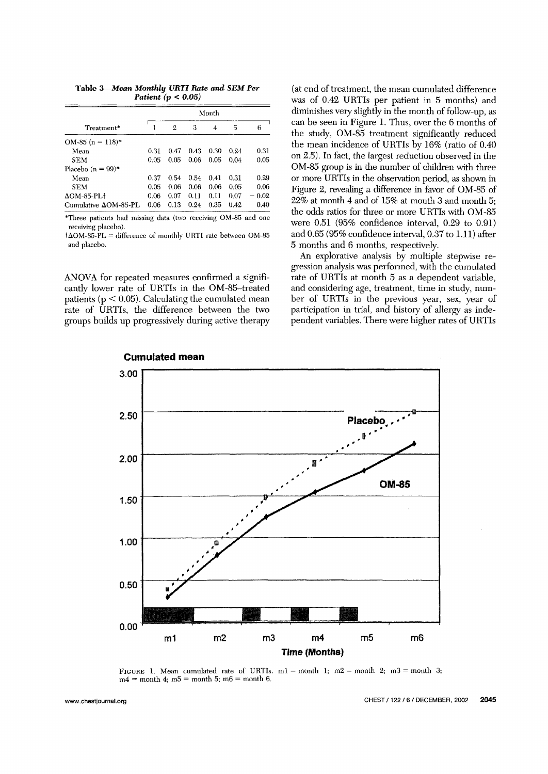*Patient (p* < *0.05)* 

|                              | Month |             |      |      |      |         |  |  |
|------------------------------|-------|-------------|------|------|------|---------|--|--|
| Treatment*                   |       | $\mathbf 2$ | З    | 4    | 5    | 6       |  |  |
| OM-85 (n = 118)*             |       |             |      |      |      |         |  |  |
| Mean                         | 0.31  | 0.47        | 0.43 | 0.30 | 0.24 | 0.31    |  |  |
| <b>SEM</b>                   | 0.05  | 0.05        | 0.06 | 0.05 | 0.04 | 0.05    |  |  |
| Placebo $(n = 99)^*$         |       |             |      |      |      |         |  |  |
| Mean                         | 0.37  | 0.54        | 0.54 | 0.41 | 0.31 | 0.29    |  |  |
| <b>SEM</b>                   | 0.05  | 0.06        | 0.06 | 0.06 | 0.05 | 0.06    |  |  |
| $\Delta$ OM-85-PL+           | 0.06  | 0.07        | 0.11 | 0.11 | 0.07 | $-0.02$ |  |  |
| Cumulative $\Delta$ OM-85-PL | 0.06  | 0.13        | 0.24 | 0.35 | 0.42 | 0.40    |  |  |

\*Three patients had missing data (two receiving OM-85 and one receiving placebo).

 $\dagger \Delta$ OM-85-PL = difference of monthly URTI rate between OM-85 and placebo.

ANOVA for repeated measures confirmed a significantly lower rate of UKTIs in the OM-85-treated patients ( $p < 0.05$ ). Calculating the cumulated mean rate of UKTIs, the difference between the two groups huilds up progressively during active therapy

(at end of treatment, the mean cumulated difference was of 0.42 URTIs per patient in 5 months) and diminishes very slightly in the month of follow-up, as can be seen in Figure 1. Thus, over the 6 months of the study, OM-85 treatment significantly reduced the mean incidence of URTIs by  $16\%$  (ratio of  $0.40$ on 2.5). In fact, the largest reduction observed in the OM-85 group is in the number of children with three or more URTIs in the observation period, as shown in Figure 2, revealing a difference in favor of OM-85 of 22% at month **4** and of 15% at month *3* **and** rrionth 5; the odds ratios for three or more URTIs with OM-85 were 0.51 (95% confidence interval, 0.29 to 0.91) and 0.65 (95% confidence interval, 0.37 to 1.11) after 5 months and 6 months, respectively.

An explorative analysis by multiple stepwise regression analysis was performed, with the cumulated rate of URTIs at month 5 as a dependent variable, and considering age, treatment, time in study, number of URTIs in the previous year, sex, year of participation in trial, and history of allergy as independent variables. There were higher rates of URTIs



FIGURE 1. Mean cumulated rate of URTIs.  $m1 =$  month 1;  $m2 =$  month 2;  $m3 =$  month 3;  $m4 =$  month 4;  $m5 =$  month 5;  $m6 =$  month 6.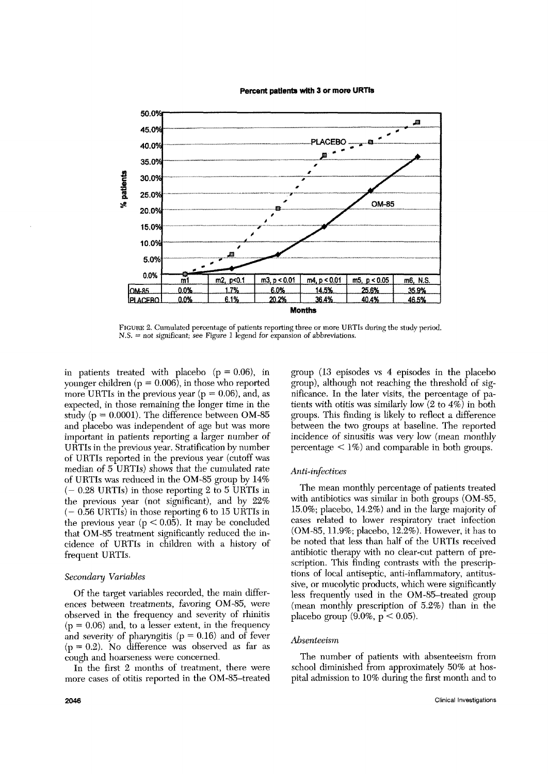Percent patients with 3 or more URTIs



FIGUHE 2.Curnulated percentage of patients reporting three **or** more **UHTIs** during the study peiiod.  $N.S.$  = not significant; see Figure 1 legend for expansion of abbreviations.

in patients treated with placebo  $(p = 0.06)$ , in younger children  $(p = 0.006)$ , in those who reported more URTIs in the previous year ( $p = 0.06$ ), and, as expected, in those remaining the longer time in the study ( $p = 0.0001$ ). The difference between OM-85 and placebo was independent of age but was more important in patients reporting a larger number of URTIs in the previous year. Stratification by number of URTIs reported in the previous year (cutoff was median of 5 URTIs) shows that the cumulated rate of URTIs was reduced in the OM-85 group by 14%  $(-0.28 \text{ URTIs})$  in those reporting 2 to 5 URTIs in the previous year (not sipificant), and by 22% (- 0.56 URTls) in those reporting **6** to 15 URTIs in the previous year  $(p < 0.05)$ . It may be concluded that OM-85 treatment significantly reduced the incidence of URTTs in children with a history of frequent URTIs.

## *Secorida* y *Variables*

Of the target variables recorded, the main differences between treatments, favoring OM-85, were observed in the frequency and severity of rhinitis  $(p = 0.06)$  and, to a lesser extent, in the frequency and severity of pharyngitis ( $p = 0.16$ ) and of fever (p = 0.2). No difference was observed as far **as**  cough and hoarseness were concerned.

In the first **2** months of treatment, there were more cases of otitis reported in the OM-85-treated group (13 episodes vs **4** episodes in the placebo group), although not reaching the threshold of significance. In the later visits, the percentage of patients with otitis was similarly low (2 to **4%)** in both groups. This finding is likely to reflect a dfference between the two groups at baseline. The reported incidence of sinusitis was very low (mean monthly percentage  $\lt 1\%$  and comparable in both groups.

## *Anti-infectives*

The mean monthly percentage of patients treated with antibiotics was similar in both groups (OM-85, 15.0%; placebo, 14.2%) and in the large majority of cases related to lower respiratory tract infection (OM-85, 11.9%; placebo, 12.2%). However, it has to be noted that less than half of the URTIs received antibiotic therapy with no clear-cut pattern of prescription. This finding contrasts with the prescriptions of local antiseptic, anti-inflammatory, antitussive, or mucolytic products, which were significantly less frequently used in the OM-85-treated group (mean monthly prescription of  $5.2%$ ) than in the placebo group  $(9.0\%, p < 0.05)$ .

#### *Absenieeisln*

The number of patients with absenteeism from school diminished from approximately 50% at hospital admission to 10% during the first month and to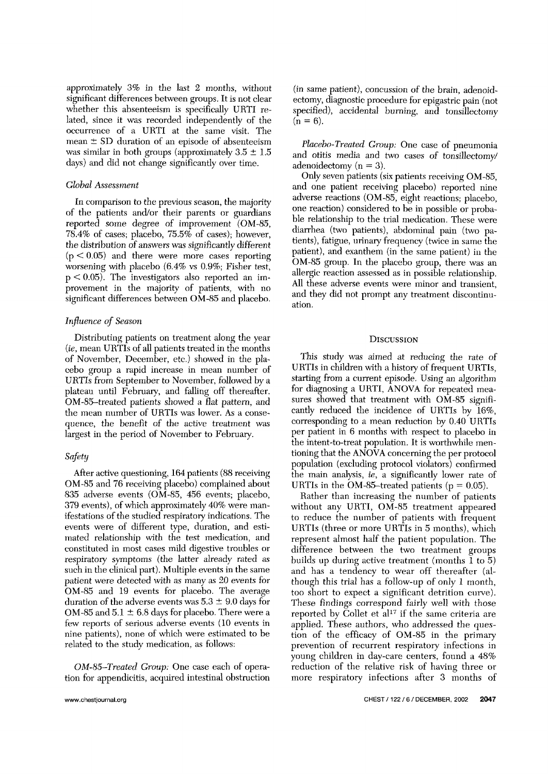approximately *3%* in the last 2 months, without significant differences between groups. It is not clear whether this absenteeism is specifically URTI related, since it was recorded independently of the occurrence of a URTI at the same visit. The mean  $\pm$  SD duration of an episode of absenteeism was similar in both groups (approximately  $3.5 \pm 1.5$ days) and did not change significantly over time.

# *Global* Assessment

In comparison to the previous season, the majority of the patients and/or their parents or guardians reported some degree of improvement (OM-85, 78.4% of cases; placebo, 75.5% of cases); however, the distribution of answers was significantly different  $(p < 0.05)$  and there were more cases reporting worsening with placebo (6.4% vs 0.9%; Fisher test,  $p < 0.05$ ). The investigators also reported an improvement in the majority of patients, with no significant differences between OM-85 and placebo.

# *Influence* of *Season*

Distributing patients on treatment along the year *(ie,* mean UKTls of all patients treated in the months of November, December, etc.) showed in the placebo group a rapid increase in mean number of URTIs from September to November, followed by a plateau until February, and falling off thereafter. OM-85-treated patients showed a flat pattern, and the mean number of URTIs was lower. As a consequence, the benefit of the active treatment was largest in the period of November to February.

# *Safety*

After active questioning, 164 patients (88 receiving OM-85 and 76 receiving placebo) complained about 835 adverse events (OM-85, 4S6 events; placebo, **379** events), of which approximately 40% were manifestations of the studied respiratory indications. The events were of different type, duration, and estimated relationship with the test medication, and constituted in most cases mild digestive troubles or respiratory symptoms (the latter already rated as such in the clinical part). Multiple events in the same patient were detected with as many as 20 events for OM-85 and 19 events for placebo. The average duration of the adverse events was  $5.3 \pm 9.0$  days for OM-85 and  $5.1 \pm 6.8$  days for placebo. There were a few reports of serious adverse events (10 events in nine patients), none of which were estimated to be related to the study medication, as follows:

*OM-85-Treated Group:* One case each of operation for appendicitis, acquired intestinal obstruction (in same patient), concussion of the brain, adenoidectomy, diagnostic procedure for epigastric pain (not specified), accidental burning, and tonsillectomy  $(n = 6)$ .

*Placebo-Treated Group:* One case of pneumonia and otitis media and two cases of tonsillectomy/ adenoidectomy (n = *3).* 

Only seven patients (six patients receiving OM-85, and one patient receiving placebo) reported nine adverse reactions (OM-85, eight reactions; placebo, one reaction) considered to be in possible or probable relationship to the trial medication. These were diarrbea **(two** patients), abdominal pain **(two** patients), fatigue, urinary frequency (twice in same the patient), and exanthem (in the same patient) in the OM-85 group. In the placebo group, there was an allergic reaction assessed as in possible relationship. All these adverse events were minor and transient, and they did not prompt any treatment discontinuation.

# **DISCUSSION**

This study was aimed at reducing the rate of URTIs in children with a history of frequent URTIs, starting from a current episode. Using an algorithm for diagnosing a URTI, ANOVA for repeated measures showed that treatment with OM-85 significantly reduced the incidence of UKTIs by 16%, corresponding to a mean reduction by 0.40 URTIs per patient in 6 months with respect to placebo in the intent-to-treat population. It is worthwhile mentioning that the ANOVA concerning the per protocol population (excluding protocol violators) confirmed the main analysis, *ie,* a significantly lower rate of URTIs in the OM-85-treated patients ( $p = 0.05$ ).

Rather than increasing the number of patients without any UKTI, OM-85 treatment appeared to reduce the number of patients with frequent URTIs (three or more UKTIs in 5 months), which represent almost half the patient population. The difference between the two treatment groups builds up during active treatment (months 1 to *5)*  and has a tendency to wear off thereafter (although this trial has a follow-up of only l month, too short to expect a significant detrition curve). These findings correspond fairly well with those reported by Collet et al<sup>17</sup> if the same criteria are applied. These authors, who addressed the question of the efficacy of OM-85 in the primary prevention of recurrent respiratory infections in young children in day-care centers, found a 48% reduction of the relative risk of having three or more respiratory infections after 3 months of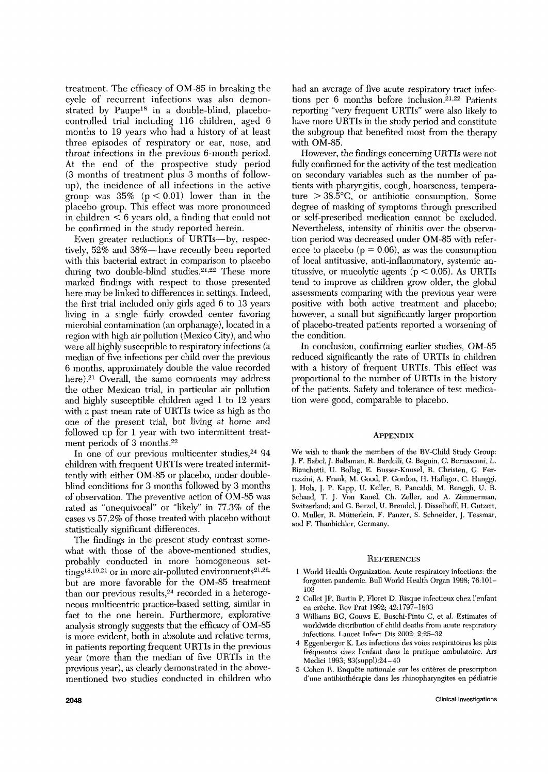treatment. The efficacy of OM-85 in breaking the cycle of recurrent infections was also demonstrated by Paupe18 in a double-blind, placebocontrolled trial including 116 children, aged 6 months to 19 years who had a history of at least three episodes of respiratory or ear, nose, and throat infections in the previous 6-month period. At the end of the prospective study period (3 months of treatment pliis *3* months of followup), the incidence of all infections in the active group was  $35\%$  ( $p < 0.01$ ) lower than in the placebo group. This effect was more pronounced in children < 6 years old, a finding that could not be confirmed in the study reported herein.

Even greater reductions of URTIs—by, respectively, 52% and 3S%-have recently been reported with this bacterial extract in comparison to placebo during two double-blind studies.<sup>21,22</sup> These more marked findings with respect to those presented here may be linked to differences in settings. Indeed, the first trial included only girls aged 6 to 13 years living in a single fairly crowded center favoring microbial contamination **(an** orphanage), located in a region with high air pollution (Mexico City), and who were all highly susceptible to respiratory infections (a median of five infections per child over the previous 6 months, approximately double the value recorded here).<sup>21</sup> Overall, the same comments may address the other Mexican trial, in particular air pollution and highly susceptible children aged 1 to 12 years with a past mean rate of URTIs twice as high as the one of the present trial, but living at home and followed up for 1 year with two intermittent treatment periods of **3** months.22

In one of our previous multicenter studies,  $24$  94 children with frequent URTIs were treated intermittently with either OM-85 or placebo, under doubleblind conditions for **3** months followed by *3* months of observation. The preventive action of OM-85 was rated as "unequivocal" or "likely" in *77.3%* of the cases vs *57.2%* of those treated with placebo without statistically significant differences.

The findings in the present study contrast somewhat with those of the above-mentioned studies, probably conducted in more homogeneous set- $\frac{1}{2}$  tings<sup>18,19,21</sup> or in more air-polluted environments<sup>21,22</sup>, but are more favorable for the OM-85 treatment than our previous results,<sup>24</sup> recorded in a heterogeneous multicentric practice-based setting, similar in fact to the one herein. Furthermore, explorative analysis strongly suggests that the efficacy of OM-85 is more evident, both in absolute and relative terms, in patients reporting frequent URTIs in the previous year (more than the median of five URTIs in the previous year), as clearly demonstrated in the abovementioned two studies conducted in children who had an average of five acute respiratory tract infections per 6 months before inclusion.<sup>21,22</sup> Patients reporting "very frequent URTIs" were also likely to have more URTIs **in** the study period and constitute the subgroup that benefited most from the therapy with OM-85.

However, the findings concerning URTTs were not fully confirmed for the activity of the test medication on secondary variables such as the number of patients with pharyngitis, cough, hoarseness, temperature  $> 38.5^{\circ}$ C, or antibiotic consumption. Some degree of masking of symptoms through prescribed or self-prescribed medication cannot be excluded. Nevertheless, intensity of rhinitis over the ohservation period was decreased under OM-85 with reference to placebo ( $p = 0.06$ ), as was the consumption of local antitussive, anti-inflammatory, systemic antitussive, or mucolytic agents ( $p < 0.05$ ). As URTIs tend to improve **as** children grow older, the global assessments comparing with the previous year were positive with both active treatment and placebo; however, a small but significantly larger proportion of placebo-treated patients reported a worsening of the condition.

In conclusion, confirming earlier studies, OM-85 reduced significantly the rate of URTIs in children with a history of frequent URTIs. This effect was proportional to the number of URTIs in the history of the patients. Safety and tolerance of test medication were good, comparable to placebo.

# APPENDIX

We wish to thank the members of the BV-Child Study Group: J. F. Babel, J. Ballaman, **R.** Bardelli, G. Beguin, C. Bernasconi, L. Bianchetti, U. Bollag, E. Busser-Knusel, R. Christen, G. Ferrazzini, **A.** Frank, M. Good, P. Cordon, **11.** IIafliger, C. Ilanggi, J. Holx, J. P. Kapp, {J. Keller, R. Pancddi, **M.** Rcnggli, U. B. Schaad, T. J, Von Kanel, Ch. Zeller, and **A.** Zimmerman, Switzerland; and G. Berzel, U. Brendel, J. Disselhoff, H. Gutzeit, 0. Muller, R. Mutterlein, F. Panzer, S. Schneider, J. Tessmar, and F. Thanbichler, Germany.

#### **REFERENCES**

- 1 World IIealth Organization. Acute respiratory infections: the forgotten pandemic. Bull World Health Organ 1998; 76:101- **103**
- 2 Collet JP, Burtin P, Floret D. Risque infectienx chez l'enfant en crèche. Rev Prat 1992; 42:1797-1803
- *3* Williams BG, Gouws **E,** Boschi-Pinto C, et al. Estimates of worldwide distribution of child deaths from acute respiratory infections. Lancet Infect Dis 2002; 2:25-32
- *3* Eggenberger K. **Les** infections des voies respiratoires **les** plus fréquentes chez l'enfant dans la pratique ambulatoire. Ars Medici 1993; **83(suppl):24-40**
- 5 Cohen R. Enquête nationale sur les critères de prescription d'une antibiothérapie dans les rhinopharyngites en pédiatrie